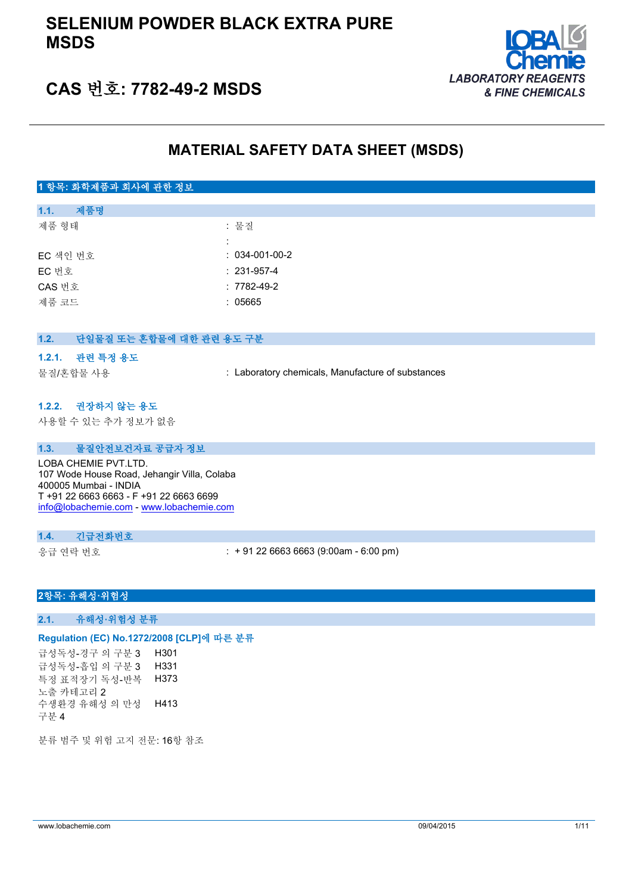## **SELENIUM POWDER BLACK EXTRA PURE MSDS**



# **CAS 번호: 7782-49-2 MSDS**

## **MATERIAL SAFETY DATA SHEET (MSDS)**

## **1 항목: 화학제품과 회사에 관한 정보**

| 1.1.     | 제품명 |                   |
|----------|-----|-------------------|
| 제품 형태    |     | : 물질              |
|          |     |                   |
| EC 색인 번호 |     | $: 034-001-00-2$  |
| EC 번호    |     | $: 231 - 957 - 4$ |
| CAS 번호   |     | $: 7782 - 49 - 2$ |
| 제품 코드    |     | : 05665           |
|          |     |                   |

| 1.2. | 단일물질 또는 혼합물에 대한 관련 용도 구분 |  |
|------|--------------------------|--|
|------|--------------------------|--|

#### **1.2.1. 관련 특정 용도**

물질/혼합물 사용 : Laboratory chemicals, Manufacture of substances

#### **1.2.2. 권장하지 않는 용도**

사용할 수 있는 추가 정보가 없음

#### **1.3. 물질안전보건자료 공급자 정보**

LOBA CHEMIE PVT. LTD. 107 Wode House Road, Jehangir Villa, Colaba 400005 Mumbai - INDIA T +91 22 6663 6663 - F +91 22 6663 6699 [info@lobachemie.com](mailto:info@lobachemie.com) - <www.lobachemie.com>

#### **1.4. 긴급전화번호**

응급 연락 번호 : + 91 22 6663 6663 (9:00am - 6:00 pm)

## **2항목: 유해성·위험성**

#### **2.1. 유해성·위험성 분류**

## **Regulation (EC) No.1272/2008 [CLP]에 따른 분류**

급성독성-경구 의 구분 3 H301 급성독성-흡입 의 구분 3 H331 특정 표적장기 독성-반복 노출 카테고리 2 H373 수생환경 유해성 의 만성 구분 4 H413

분류 범주 및 위험 고지 전문: 16항 참조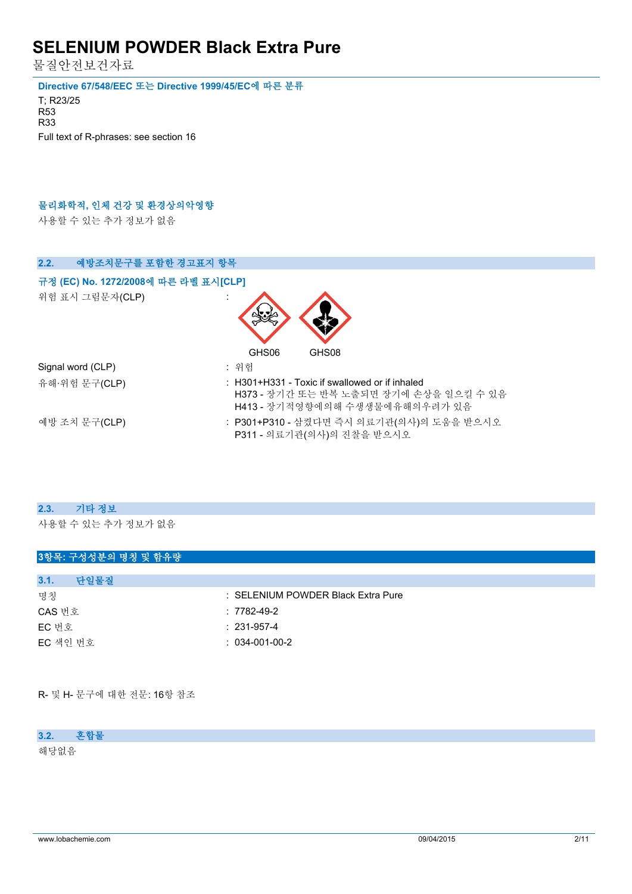물질안전보건자료

**Directive 67/548/EEC 또는 Directive 1999/45/EC에 따른 분류**

T; R23/25 R53 R33 Full text of R-phrases: see section 16

### **물리화학적, 인체 건강 및 환경상의악영향**

사용할 수 있는 추가 정보가 없음

| 2.2.<br>예방조치문구를 포함한 경고표지 항목          |                                                                                                                            |
|--------------------------------------|----------------------------------------------------------------------------------------------------------------------------|
| 규정 (EC) No. 1272/2008에 따른 라벨 표시[CLP] |                                                                                                                            |
| 위험 표시 그림문자(CLP)                      |                                                                                                                            |
|                                      | GHS06<br>GHS08                                                                                                             |
| Signal word (CLP)                    | : 위험                                                                                                                       |
| 유해·위험 문구(CLP)                        | : H301+H331 - Toxic if swallowed or if inhaled<br>H373 - 장기간 또는 반복 노출되면 장기에 손상을 일으킬 수 있음<br>H413 - 장기적영향에의해 수생생물에유해의우려가 있음 |
| 예방 조치 문구(CLP)                        | : P301+P310 - 삼켰다면 즉시 의료기관(의사)의 도움을 받으시오<br>P311 - 의료기관(의사)의 진찰을 받으시오                                                      |

#### **2.3. 기타 정보**

사용할 수 있는 추가 정보가 없음

## **3항목: 구성성분의 명칭 및 함유량**

| 다일물질<br>3.1. |                                    |
|--------------|------------------------------------|
| 명칭           | : SELENIUM POWDER Black Extra Pure |
| CAS 번호       | $:7782-49-2$                       |
| EC 번호        | $: 231-957-4$                      |
| EC 색인 번호     | $: 034-001-00-2$                   |

R- 및 H- 문구에 대한 전문: 16항 참조

#### **3.2. 혼합물**

해당없음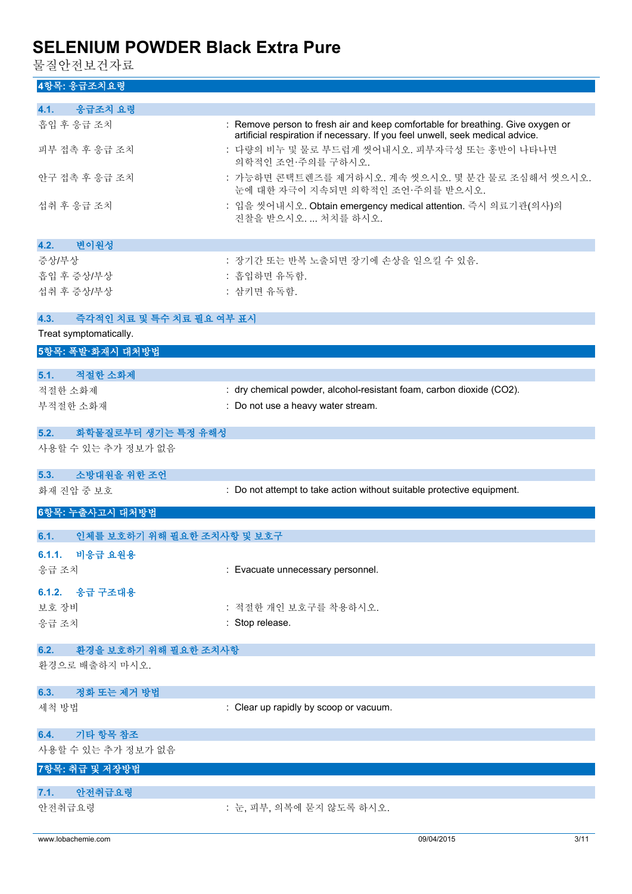물질안전보건자료

## **4항목: 응급조치요령**

| 4.1.<br>응급조치 요령                    |                                                                                                                                                                  |
|------------------------------------|------------------------------------------------------------------------------------------------------------------------------------------------------------------|
| 흡입 후 응급 조치                         | : Remove person to fresh air and keep comfortable for breathing. Give oxygen or<br>artificial respiration if necessary. If you feel unwell, seek medical advice. |
| 피부 접촉 후 응급 조치                      | : 다량의 비누 및 물로 부드럽게 씻어내시오. 피부자극성 또는 홍반이 나타나면<br>의학적인 조언·주의를 구하시오.                                                                                                 |
| 안구 접촉 후 응급 조치                      | : 가능하면 콘택트렌즈를 제거하시오. 계속 씻으시오. 몇 분간 물로 조심해서 씻으시오.<br>눈에 대한 자극이 지속되면 의학적인 조언·주의를 받으시오.                                                                             |
| 섭취 후 응급 조치                         | : 입을 씻어내시오. Obtain emergency medical attention. 즉시 의료기관(의사)의<br>진찰을 받으시오.  처치를 하시오.                                                                              |
| 변이원성<br>4.2.                       |                                                                                                                                                                  |
| 증상/부상                              | : 장기간 또는 반복 노출되면 장기에 손상을 일으킬 수 있음.                                                                                                                               |
| 흡입 후 증상/부상                         | : 흡입하면 유독함.                                                                                                                                                      |
| 섭취 후 증상/부상                         | : 삼키면 유독함.                                                                                                                                                       |
|                                    |                                                                                                                                                                  |
| 즉각적인 치료 및 특수 치료 필요 여부 표시<br>4.3.   |                                                                                                                                                                  |
| Treat symptomatically.             |                                                                                                                                                                  |
| 5항목: 폭발·화재시 대처방법                   |                                                                                                                                                                  |
|                                    |                                                                                                                                                                  |
| 5.1. 적절한 소화제                       |                                                                                                                                                                  |
| 적절한 소화제                            | : dry chemical powder, alcohol-resistant foam, carbon dioxide (CO2).                                                                                             |
| 부적절한 소화재                           | : Do not use a heavy water stream.                                                                                                                               |
| 화학물질로부터 생기는 특정 유해성<br>5.2.         |                                                                                                                                                                  |
| 사용할 수 있는 추가 정보가 없음                 |                                                                                                                                                                  |
| 소방대원을 위한 조언<br>5.3.                |                                                                                                                                                                  |
| 화재 진압 중 보호                         | : Do not attempt to take action without suitable protective equipment.                                                                                           |
| 6항목: 누출사고시 대처방법                    |                                                                                                                                                                  |
| 6.1.<br>인체를 보호하기 위해 필요한 조치사항 및 보호구 |                                                                                                                                                                  |
| 6.1.1. 비응급 요원용                     |                                                                                                                                                                  |
| 응급 조치                              | : Evacuate unnecessary personnel.                                                                                                                                |
|                                    |                                                                                                                                                                  |
| 6.1.2. 응급 구조대용                     |                                                                                                                                                                  |
| 보호 장비                              | : 적절한 개인 보호구를 착용하시오.                                                                                                                                             |
| 응급 조치                              | : Stop release.                                                                                                                                                  |
|                                    |                                                                                                                                                                  |
| 6.2.<br>환경을 보호하기 위해 필요한 조치사항       |                                                                                                                                                                  |
| 환경으로 배출하지 마시오.                     |                                                                                                                                                                  |
| 정화 또는 제거 방법<br>6.3.                |                                                                                                                                                                  |
| 세척 방법                              | : Clear up rapidly by scoop or vacuum.                                                                                                                           |
| 기타 항목 참조<br>6.4.                   |                                                                                                                                                                  |
| 사용할 수 있는 추가 정보가 없음                 |                                                                                                                                                                  |
| 7항목: 취급 및 저장방법                     |                                                                                                                                                                  |
| 안전취급요령<br>7.1.                     |                                                                                                                                                                  |
| 안전취급요령                             | : 눈, 피부, 의복에 묻지 않도록 하시오.                                                                                                                                         |
|                                    |                                                                                                                                                                  |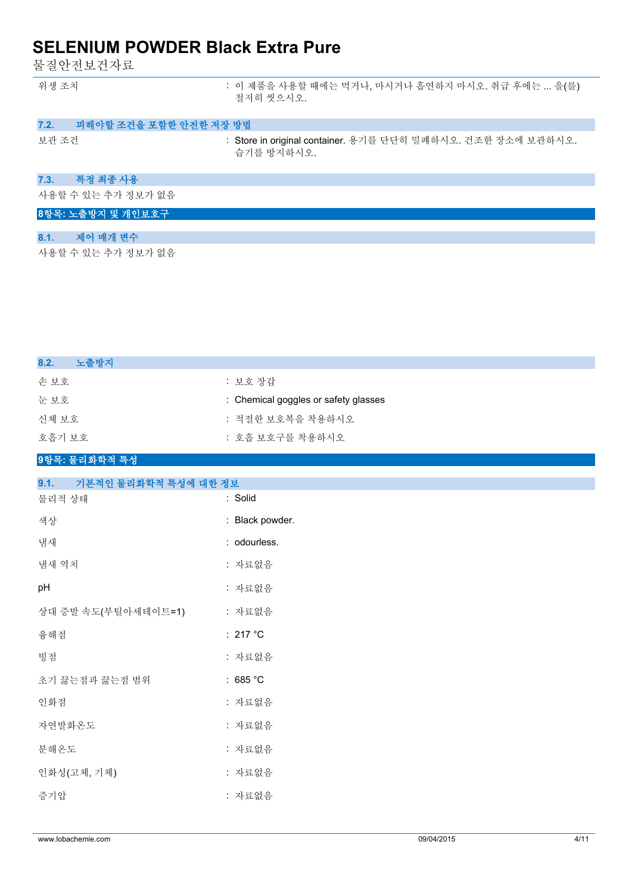물질안전보건자료

| 위생 조치 | : 이 제품을 사용할 때에는 먹거나, 마시거나 흡연하지 마시오. 취급 후에는  을(를) |
|-------|--------------------------------------------------|
|       | 철저히 씻으시오.                                        |

|  | 7.2. | 피해야할 조건을 포함한 안전한 저장 방법 |  |
|--|------|------------------------|--|
|--|------|------------------------|--|

보관 조건 : Store in original container. 용기를 단단히 밀폐하시오. 건조한 장소에 보관하시오. 습기를 방지하시오.

### **7.3. 특정 최종 사용**

사용할 수 있는 추가 정보가 없음

## **8항목: 노출방지 및 개인보호구**

| 8.1. | 제어 매개 변수 |
|------|----------|
|      |          |

사용할 수 있는 추가 정보가 없음

| : 보호 장갑                              |
|--------------------------------------|
| : Chemical goggles or safety glasses |
| : 적절한 보호복을 착용하시오                     |
| : 호흡 보호구를 착용하시오                      |
|                                      |

### **9항목: 물리화학적 특성**

| 기본적인 물리화학적 특성에 대한 정보<br>9.1. |                    |
|------------------------------|--------------------|
| 물리적 상태                       | : Solid            |
| 색상                           | : Black powder.    |
| 냄새                           | : odourless.       |
| 냄새 역치                        | : 자료없음             |
| рH                           | : 자료없음             |
| 상대 증발 속도(부틸아세테이트=1)          | : 자료없음             |
| 융해점                          | : 217 °C           |
| 빙점                           | : 자료없음             |
| 초기 끓는점과 끓는점 범위               | : 685 $^{\circ}$ C |
| 인화점                          | : 자료없음             |
| 자연발화온도                       | : 자료없음             |
| 분해온도                         | : 자료없음             |
| 인화성(고체, 기체)                  | : 자료없음             |
| 증기압                          | : 자료없음             |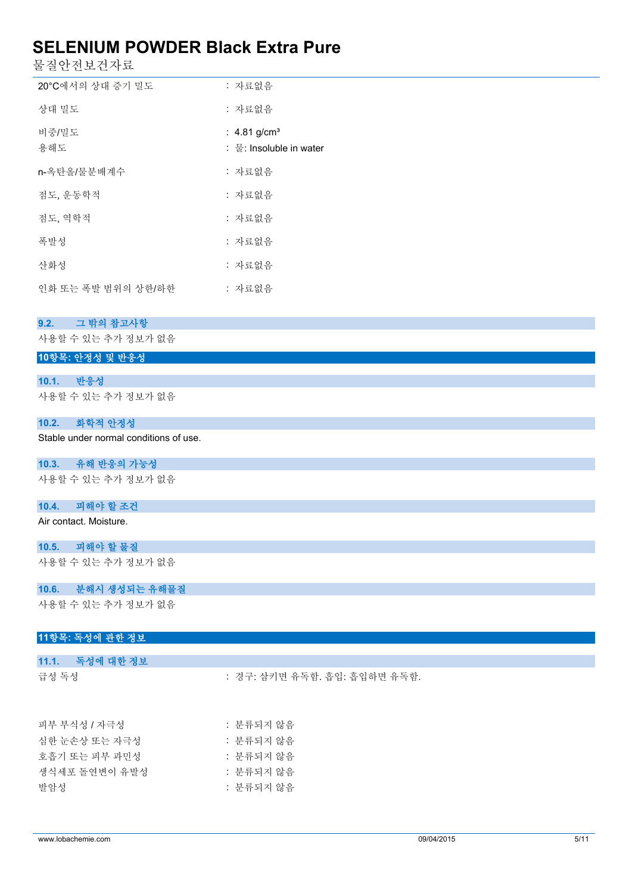물질안전보건자료

| 20°C에서의 상대 증기 밀도   | : 자료없음                                                 |
|--------------------|--------------------------------------------------------|
| 상대 밀도              | : 자료없음                                                 |
| 비중/밀도<br>용해도       | : $4.81$ g/cm <sup>3</sup><br>:  물: Insoluble in water |
| n-옥탄올/물분배계수        | : 자료없음                                                 |
| 점도, 운동학적           | : 자료없음                                                 |
| 점도, 역학적            | : 자료없음                                                 |
| 폭발성                | : 자료없음                                                 |
| 산화성                | : 자료없음                                                 |
| 인화 또는 폭발 범위의 상한/하한 | : 자료없음                                                 |

#### **9.2. 그 밖의 참고사항**

사용할 수 있는 추가 정보가 없음

## **10항목: 안정성 및 반응성**

### **10.1. 반응성**

사용할 수 있는 추가 정보가 없음

## **10.2. 화학적 안정성**

Stable under normal conditions of use.

#### **10.3. 유해 반응의 가능성**

사용할 수 있는 추가 정보가 없음

## **10.4. 피해야 할 조건**

Air contact. Moisture.

#### **10.5. 피해야 할 물질**

사용할 수 있는 추가 정보가 없음

## **10.6. 분해시 생성되는 유해물질**

사용할 수 있는 추가 정보가 없음

## **11항목: 독성에 관한 정보**

| 11.1. 독성에 대한 정보 |                              |  |
|-----------------|------------------------------|--|
| 급성 독성           | : 경구: 삼키면 유독함. 흡입: 흡입하면 유독함. |  |
| 피부 부식성 / 자극성    | : 분류되지 않음                    |  |
|                 |                              |  |
| 심한 눈손상 또는 자극성   | : 분류되지 않음                    |  |

| 호흡기 또는 피부 과민성 | : 분류되지 않음 |
|---------------|-----------|
| 생식세포 돌여변이 유발성 | : 분류되지 않음 |
| 발암성           | : 분류되지 않음 |
|               |           |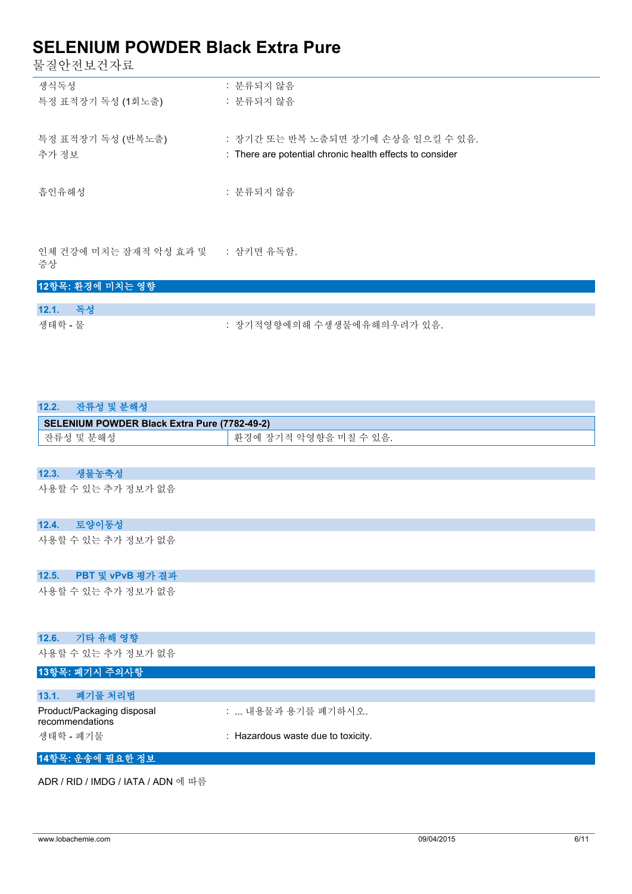물질안전보건자료

| 생식독성              | : 분류되지 않음                                                |
|-------------------|----------------------------------------------------------|
| 특정 표적장기 독성 (1회노출) | : 분류되지 않음                                                |
|                   |                                                          |
| 특정 표적장기 독성 (반복노출) | : 장기간 또는 반복 노출되면 장기에 손상을 일으킬 수 있음.                       |
| 추가 정보             | : There are potential chronic health effects to consider |
|                   |                                                          |
| 흡인유해성             | : 분류되지 않음                                                |
|                   |                                                          |
|                   |                                                          |

인체 건강에 미치는 잠재적 악성 효과 및 증상 : 삼키면 유독함.

## **12항목: 환경에 미치는 영향**

| 12.1.   | - 독성 |                            |
|---------|------|----------------------------|
| 생태학 - 물 |      | : 장기적영향에의해 수생생물에유해의우려가 있음. |

| 12.2.<br>잔류성 및 분해성                            |                                    |  |  |  |  |
|-----------------------------------------------|------------------------------------|--|--|--|--|
| SELENIUM POWDER Black Extra Pure (7782-49-2)  |                                    |  |  |  |  |
| 잔류성 및 분해성                                     | 환경에 장기적 악영향을 미칠 수 있음.              |  |  |  |  |
|                                               |                                    |  |  |  |  |
| 생물농축성<br>12.3.                                |                                    |  |  |  |  |
| 사용할 수 있는 추가 정보가 없음                            |                                    |  |  |  |  |
| 토양이동성<br>12.4.                                |                                    |  |  |  |  |
| 사용할 수 있는 추가 정보가 없음                            |                                    |  |  |  |  |
| PBT 및 vPvB 평가 결과<br>12.5.                     |                                    |  |  |  |  |
| 사용할 수 있는 추가 정보가 없음                            |                                    |  |  |  |  |
| 기타 유해 영향<br>12.6.                             |                                    |  |  |  |  |
| 사용할 수 있는 추가 정보가 없음                            |                                    |  |  |  |  |
| 13항목: 폐기시 주의사항                                |                                    |  |  |  |  |
| 폐기물 처리법<br>13.1.                              |                                    |  |  |  |  |
| Product/Packaging disposal<br>recommendations | :  내용물과 용기를 폐기하시오.                 |  |  |  |  |
| 생태학 - 폐기물                                     | : Hazardous waste due to toxicity. |  |  |  |  |

#### **14항목: 운송에 필요한 정보**

ADR / RID / IMDG / IATA / ADN 에 따름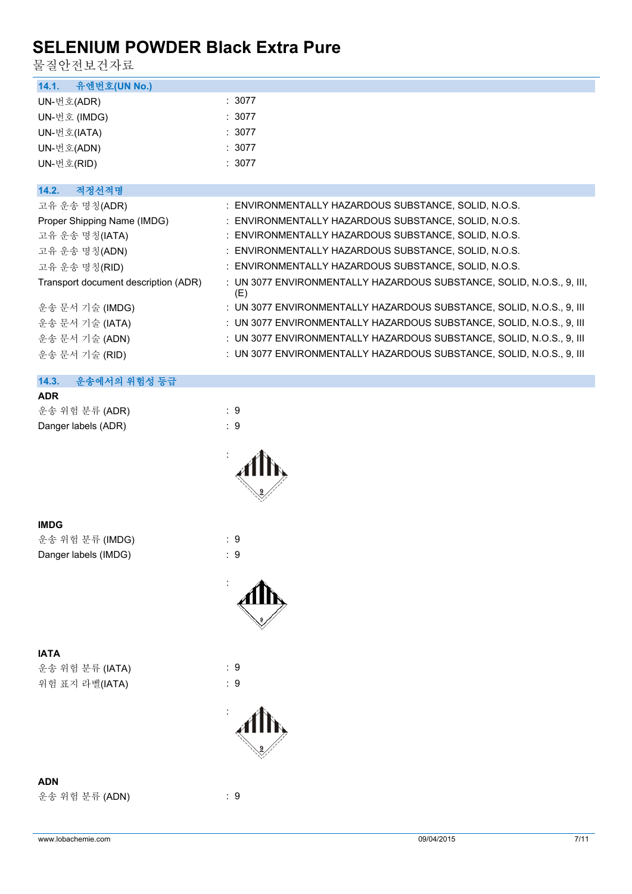물질안전보건자료

| 유엔번호(UN No.)<br>14.1.                |                                                                              |
|--------------------------------------|------------------------------------------------------------------------------|
| UN-번호(ADR)                           | : 3077                                                                       |
| UN-번호 (IMDG)                         | : 3077                                                                       |
| UN-번호(IATA)                          | : 3077                                                                       |
| UN-번호(ADN)                           | : 3077                                                                       |
| UN-번호(RID)                           | : 3077                                                                       |
|                                      |                                                                              |
| 14.2.<br>적정선적명                       |                                                                              |
| 고유 운송 명칭(ADR)                        | : ENVIRONMENTALLY HAZARDOUS SUBSTANCE, SOLID, N.O.S.                         |
| Proper Shipping Name (IMDG)          | : ENVIRONMENTALLY HAZARDOUS SUBSTANCE, SOLID, N.O.S.                         |
| 고유 운송 명칭(IATA)                       | : ENVIRONMENTALLY HAZARDOUS SUBSTANCE, SOLID, N.O.S.                         |
| 고유 운송 명칭(ADN)                        | : ENVIRONMENTALLY HAZARDOUS SUBSTANCE, SOLID, N.O.S.                         |
| 고유 운송 명칭(RID)                        | : ENVIRONMENTALLY HAZARDOUS SUBSTANCE, SOLID, N.O.S.                         |
| Transport document description (ADR) | : UN 3077 ENVIRONMENTALLY HAZARDOUS SUBSTANCE, SOLID, N.O.S., 9, III,<br>(E) |
| 운송 문서 기술 (IMDG)                      | : UN 3077 ENVIRONMENTALLY HAZARDOUS SUBSTANCE, SOLID, N.O.S., 9, III         |
| 운송 문서 기술 (IATA)                      | : UN 3077 ENVIRONMENTALLY HAZARDOUS SUBSTANCE, SOLID, N.O.S., 9, III         |
| 운송 문서 기술 (ADN)                       | : UN 3077 ENVIRONMENTALLY HAZARDOUS SUBSTANCE, SOLID, N.O.S., 9, III         |
| 운송 문서 기술 (RID)                       | : UN 3077 ENVIRONMENTALLY HAZARDOUS SUBSTANCE, SOLID, N.O.S., 9, III         |
|                                      |                                                                              |
| 14.3.<br>운송에서의 위험성 등급                |                                                                              |
| <b>ADR</b>                           |                                                                              |
| 운송 위험 분류 (ADR)                       | : 9                                                                          |
| Danger labels (ADR)                  | $\therefore$ 9                                                               |
|                                      |                                                                              |
|                                      |                                                                              |
|                                      |                                                                              |
|                                      |                                                                              |
|                                      |                                                                              |
|                                      |                                                                              |
| <b>IMDG</b>                          |                                                                              |
| 운송 위험 분류 (IMDG)                      | $\therefore$ 9                                                               |
| Danger labels (IMDG)                 | $\therefore$ 9                                                               |
|                                      |                                                                              |
|                                      |                                                                              |
|                                      |                                                                              |
|                                      |                                                                              |
|                                      |                                                                              |
| <b>IATA</b>                          |                                                                              |
|                                      |                                                                              |
|                                      |                                                                              |
| 운송 위험 분류 (IATA)                      | $\therefore$ 9                                                               |
| 위험 표지 라벨(IATA)                       | :9                                                                           |
|                                      |                                                                              |
|                                      |                                                                              |
|                                      |                                                                              |
|                                      |                                                                              |
|                                      |                                                                              |
| <b>ADN</b>                           | :9                                                                           |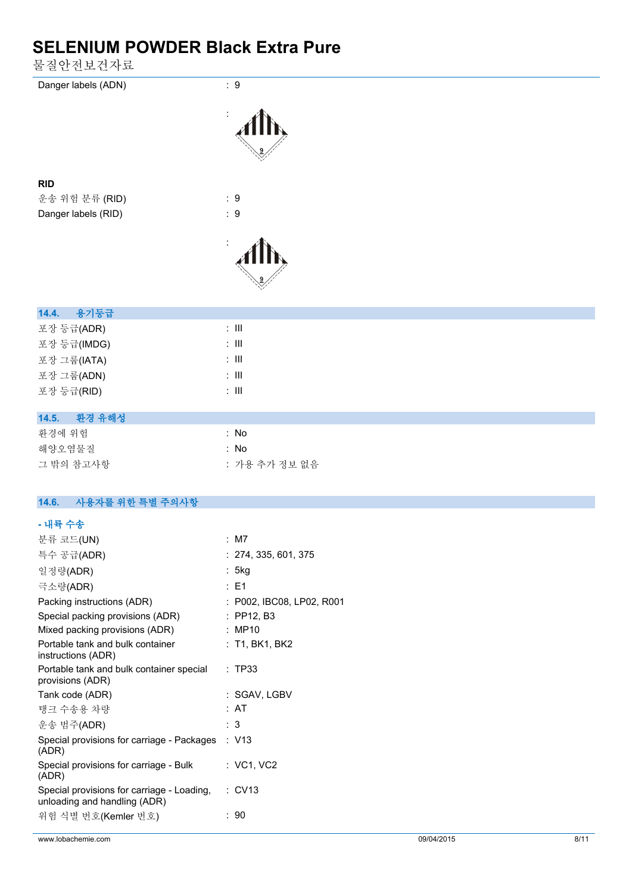물질안전보건자료

| Danger labels (ADN)                                                        | $\therefore$ 9            |
|----------------------------------------------------------------------------|---------------------------|
|                                                                            |                           |
|                                                                            |                           |
|                                                                            |                           |
|                                                                            |                           |
|                                                                            |                           |
|                                                                            |                           |
| <b>RID</b>                                                                 | $\therefore$ 9            |
| 운송 위험 분류 (RID)                                                             |                           |
| Danger labels (RID)                                                        | : 9                       |
|                                                                            |                           |
|                                                                            |                           |
|                                                                            |                           |
|                                                                            |                           |
|                                                                            |                           |
| 용기등급<br>14.4.                                                              |                           |
| 포장 등급(ADR)                                                                 | $\therefore$ III          |
|                                                                            | $: \mathsf{III}$          |
| 포장 등급(IMDG)                                                                |                           |
| 포장 그룹(IATA)                                                                | $\div$ III                |
| 포장 그룹(ADN)                                                                 | $\colon$ III              |
| 포장 등급(RID)                                                                 | $\colon$ III              |
|                                                                            |                           |
| 환경 유해성<br>14.5.                                                            |                           |
| 환경에 위험                                                                     | : No                      |
| 해양오염물질                                                                     | : No                      |
| 그 밖의 참고사항                                                                  | : 가용 추가 정보 없음             |
|                                                                            |                           |
| 사용자를 위한 특별 주의사항<br>14.6.                                                   |                           |
|                                                                            |                           |
| - 내륙 수송                                                                    |                           |
| 분류 코드(UN)                                                                  | : M7                      |
| 특수 공급(ADR)                                                                 | : 274, 335, 601, 375      |
| 일정량(ADR)                                                                   | : 5kg                     |
| 극소량(ADR)                                                                   | : E1                      |
| Packing instructions (ADR)                                                 | : P002, IBC08, LP02, R001 |
| Special packing provisions (ADR)                                           | : PP12, B3                |
| Mixed packing provisions (ADR)                                             | : MP10                    |
| Portable tank and bulk container<br>instructions (ADR)                     | : T1, BK1, BK2            |
| Portable tank and bulk container special<br>provisions (ADR)               | : TP33                    |
| Tank code (ADR)                                                            | : SGAV, LGBV              |
| 탱크 수송용 차량                                                                  | : AT                      |
| 운송 범주(ADR)                                                                 | : 3                       |
| Special provisions for carriage - Packages                                 | : V13                     |
| (ADR)                                                                      |                           |
| Special provisions for carriage - Bulk<br>(ADR)                            | : VC1, VC2                |
| Special provisions for carriage - Loading,<br>unloading and handling (ADR) | : CV13                    |
| 위험 식별 번호(Kemler 번호)                                                        | : 90                      |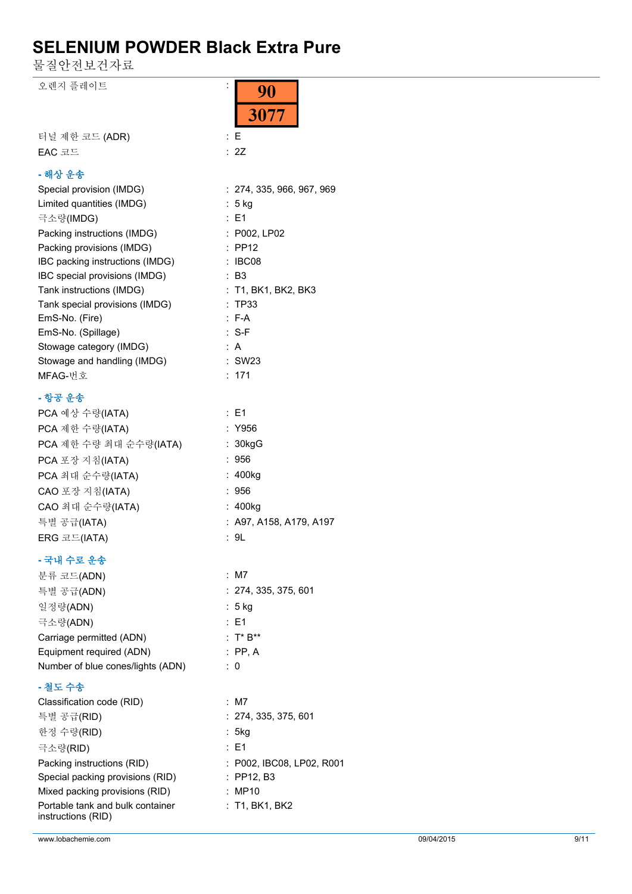90

3077

물질안전보건자료

오렌지 플레이트 :

| 터널 제한 코드 (ADR) | : E  |
|----------------|------|
| $EAC$ 코드       | : 2Z |
|                |      |

## **- 해상 운송**

| Special provision (IMDG)        | : 274, 335, 966, 967, 969 |
|---------------------------------|---------------------------|
| Limited quantities (IMDG)       | : 5 kg                    |
| 극소량(IMDG)                       | : E1                      |
| Packing instructions (IMDG)     | : P002, LP02              |
| Packing provisions (IMDG)       | $:$ PP12                  |
| IBC packing instructions (IMDG) | : IBC08                   |
| IBC special provisions (IMDG)   | : B3                      |
| Tank instructions (IMDG)        | : T1, BK1, BK2, BK3       |
| Tank special provisions (IMDG)  | : TP33                    |
| EmS-No. (Fire)                  | : F-A                     |
| EmS-No. (Spillage)              | :S-F                      |
| Stowage category (IMDG)         | ∶Α                        |
| Stowage and handling (IMDG)     | : SW23                    |
| MFAG-번호                         | : 171                     |
|                                 |                           |

### **- 항공 운송**

| PCA 예상 수량(IATA)        | $\therefore$ E1           |
|------------------------|---------------------------|
| PCA 제한 수량(IATA)        | : Y956                    |
| PCA 제한 수량 최대 순수량(IATA) | : 30kgG                   |
| PCA 포장 지침(IATA)        | :956                      |
| PCA 최대 순수량(IATA)       | : 400kg                   |
| CAO 포장 지침(IATA)        | :956                      |
| CAO 최대 순수량(IATA)       | : 400kg                   |
| 특별 공급(IATA)            | $:$ A97, A158, A179, A197 |
| ERG 코드(IATA)           | : 9L                      |
|                        |                           |

## **- 국내 수로 운송**

| - ㄱ 기 ㅣ ㅗ - 1. 0                  |                           |
|-----------------------------------|---------------------------|
| 분류 코드(ADN)                        | : M7                      |
| 특별 공급(ADN)                        | : 274, 335, 375, 601      |
| 일정량(ADN)                          | $: 5$ kg                  |
| 극소량(ADN)                          | $\therefore$ E1           |
| Carriage permitted (ADN)          | $: T^*B^{**}$             |
| Equipment required (ADN)          | $:$ PP, A                 |
| Number of blue cones/lights (ADN) | : 0                       |
| - 철도 수송                           |                           |
| Classification code (RID)         | : M7                      |
| 특별 공급(RID)                        | : 274, 335, 375, 601      |
| 한정 수량(RID)                        | : 5kg                     |
| 극소량(RID)                          | $\therefore$ E1           |
| Packing instructions (RID)        | : P002, IBC08, LP02, R001 |

 $\therefore$  PP12, B3  $: MP10$ 

: T1, BK1, BK2

| Packing instructions (RID)                             |
|--------------------------------------------------------|
| Special packing provisions (RID)                       |
| Mixed packing provisions (RID)                         |
| Portable tank and bulk container<br>instructions (RID) |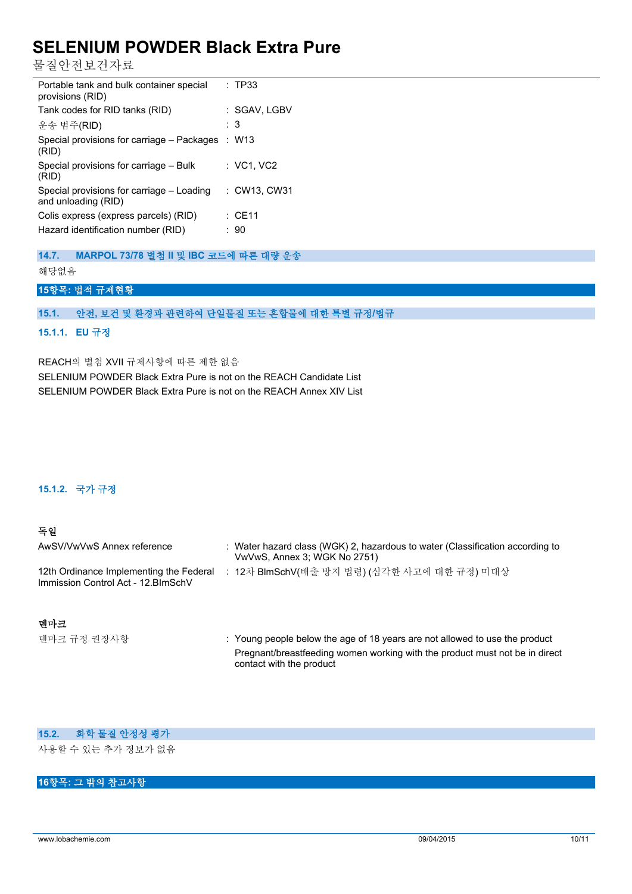물질안전보건자료

| Portable tank and bulk container special<br>provisions (RID)     | : TP33      |
|------------------------------------------------------------------|-------------|
| Tank codes for RID tanks (RID)                                   | :SGAV, LGBV |
| 운송 범주(RID)                                                       | : 3         |
| Special provisions for carriage – Packages : W13<br>(RID)        |             |
| Special provisions for carriage – Bulk<br>(RID)                  | : VC1, VC2  |
| Special provisions for carriage – Loading<br>and unloading (RID) | :CW13. CW31 |
| Colis express (express parcels) (RID)                            | $:$ CE11    |
| Hazard identification number (RID)                               | : 90        |

**14.7. MARPOL 73/78 별첨 II 및 IBC 코드에 따른 대량 운송**

해당없음

### **15항목: 법적 규제현황**

#### **15.1. 안전, 보건 및 환경과 관련하여 단일물질 또는 혼합물에 대한 특별 규정/법규**

#### **15.1.1. EU 규정**

REACH의 별첨 XVII 규제사항에 따른 제한 없음 SELENIUM POWDER Black Extra Pure is not on the REACH Candidate List SELENIUM POWDER Black Extra Pure is not on the REACH Annex XIV List

#### **15.1.2. 국가 규정**

#### **독일**

| AwSV/VwVwS Annex reference                                                     | : Water hazard class (WGK) 2, hazardous to water (Classification according to<br>VwVwS, Annex 3; WGK No 2751) |
|--------------------------------------------------------------------------------|---------------------------------------------------------------------------------------------------------------|
| 12th Ordinance Implementing the Federal<br>Immission Control Act - 12. BlmSchV | : 12차 BlmSchV(배출 방지 법령) (심각한 사고에 대한 규정) 미대상                                                                   |

## **덴마크**

덴마크 규정 권장사항 : Young people below the age of 18 years are not allowed to use the product Pregnant/breastfeeding women working with the product must not be in direct contact with the product

## **15.2. 화학 물질 안정성 평가**

사용할 수 있는 추가 정보가 없음

## **16항목: 그 밖의 참고사항**